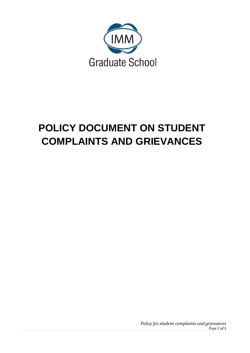

# **POLICY DOCUMENT ON STUDENT COMPLAINTS AND GRIEVANCE[S](http://www.ukzn.ac.za/docs/information-act/english-version.pdf?sfvrsn=0&page=9)**

*Policy for student complaints and grievances Page 1 of 5*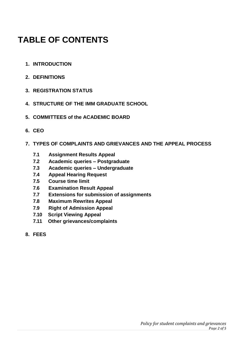# **TABLE OF CONTENTS**

- **1. INTRODUCTION**
- **2. DEFINITIONS**
- **3. REGISTRATION STATUS**
- **4. STRUCTURE OF THE IMM GRADUATE SCHOOL**
- **5. COMMITTEES of the ACADEMIC BOARD**
- **6. CEO**
- **7. TYPES OF COMPLAINTS AND GRIEVANCES AND THE APPEAL PROCESS**
	- **7.1 Assignment Results Appeal**
	- **7.2 Academic queries – Postgraduate**
	- **7.3 Academic queries – Undergraduate**
	- **7.4 Appeal Hearing Request**
	- **7.5 Course time limit**
	- **7.6 Examination Result Appeal**
	- **7.7 Extensions for submission of assignments**
	- **7.8 Maximum Rewrites Appeal**
	- **7.9 Right of Admission Appeal**
	- **7.10 Script Viewing Appeal**
	- **7.11 Other grievances/complaints**
- **8. FEES**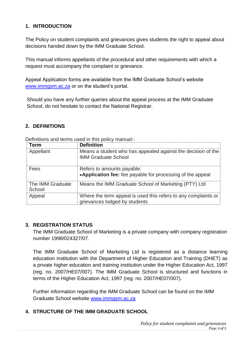## **1. INTRODUCTION**

The Policy on student complaints and grievances gives students the right to appeal about decisions handed down by the IMM Graduate School.

This manual informs appellants of the procedural and other requirements with which a request must accompany the complaint or grievance.

Appeal Application forms are available from the IMM Graduate School's website [www.immgsm.ac.za](http://www.immgsm.ac.za/) or on the student's portal.

Should you have any further queries about the appeal process at the IMM Graduate School, do not hesitate to contact the National Registrar.

# **2. DEFINITIONS**

Definitions and terms used in this policy manual:-

| Term                       | <b>Definition</b>                                                                               |
|----------------------------|-------------------------------------------------------------------------------------------------|
| Appellant                  | Means a student who has appealed against the decision of the<br><b>IMM Graduate School</b>      |
| Fees                       | Refers to amounts payable:<br>•Application fee: fee payable for processing of the appeal        |
| The IMM Graduate<br>School | Means the IMM Graduate School of Marketing (PTY) Ltd                                            |
| Appeal                     | Where the term appeal is used this refers to any complaints or<br>grievances lodged by students |

#### **3. REGISTRATION STATUS**

The IMM Graduate School of Marketing is a private company with company registration number 1998/024327/07.

The IMM Graduate School of Marketing Ltd is registered as a distance learning education institution with the Department of Higher Education and Training (DHET) as a private higher education and training institution under the Higher Education Act, 1997 (reg. no. 2007/HE07/007). The IMM Graduate School is structured and functions in terms of the Higher Education Act, 1997 (reg. no. 2007/HE07/007).

Further information regarding the IMM Graduate School can be found on the IMM Graduate School website [www.immgsm.ac.za](http://www.immgsm.ac.za/) 

# **4. STRUCTURE OF THE IMM GRADUATE SCHOOL**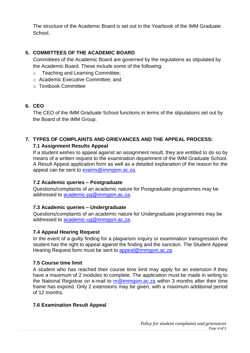The structure of the Academic Board is set out in the Yearbook of the IMM Graduate School.

# **5. COMMITTEES OF THE ACADEMIC BOARD**

Committees of the Academic Board are governed by the regulations as stipulated by the Academic Board. These include some of the following:

- o Teaching and Learning Committee;
- o Academic Executive Committee; and
- o Textbook Committee

## **6. CEO**

The CEO of the IMM Graduate School functions in terms of the stipulations set out by the Board of the IMM Group.

# **7. TYPES OF COMPLAINTS AND GRIEVANCES AND THE APPEAL PROCESS:**

#### **7.1 Assignment Results Appeal**

If a student wishes to appeal against an assignment result, they are entitled to do so by means of a written request to the examination department of the IMM Graduate School. A Result Appeal application form as well as a detailed explanation of the reason for the appeal can be sent to [exams@immgsm.ac.za.](mailto:exams@immgsm.ac.za)

## **7.2 Academic queries – Postgraduate**

Questions/complaints of an academic nature for Postgraduate programmes may be addressed to [academic-pg@immgsm.ac.za.](mailto:academic-pg@immgsm.ac.za)

## **7.3 Academic queries – Undergraduate**

Questions/complaints of an academic nature for Undergraduate programmes may be addressed to [academic-ug@immgsm.ac.za.](mailto:academic-ug@immgsm.ac.za)

## **7.4 Appeal Hearing Request**

In the event of a guilty finding for a plagiarism inquiry or examination transgression the student has the right to appeal against the finding and the sanction. The Student Appeal Hearing Request form must be sent to [appeal@immgsm.ac.za.](mailto:appeal@immgsm.ac.za)

## **7.5 Course time limit**

A student who has reached their course time limit may apply for an extension if they have a maximum of 2 modules to complete. The application must be made in writing to the National Registrar on e-mail to [nr@immgsm.ac.za](mailto:nr@immgsm.ac.za) within 3 months after their time frame has expired. Only 2 extensions may be given, with a maximum additional period of 12 months.

#### **7.6 Examination Result Appeal**